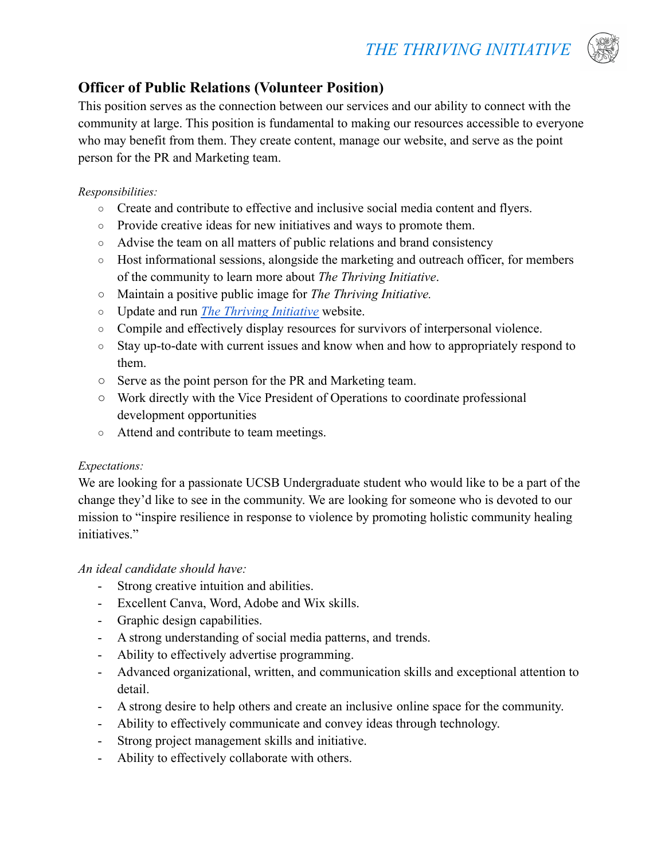

# **Officer of Public Relations (Volunteer Position)**

This position serves as the connection between our services and our ability to connect with the community at large. This position is fundamental to making our resources accessible to everyone who may benefit from them. They create content, manage our website, and serve as the point person for the PR and Marketing team.

#### *Responsibilities:*

- Create and contribute to effective and inclusive social media content and flyers.
- Provide creative ideas for new initiatives and ways to promote them.
- Advise the team on all matters of public relations and brand consistency
- Host informational sessions, alongside the marketing and outreach officer, for members of the community to learn more about *The Thriving Initiative*.
- Maintain a positive public image for *The Thriving Initiative.*
- Update and run *[The Thriving Initiative](https://www.thethrivinginitiative.org)* website.
- Compile and effectively display resources for survivors of interpersonal violence.
- Stay up-to-date with current issues and know when and how to appropriately respond to them.
- Serve as the point person for the PR and Marketing team.
- Work directly with the Vice President of Operations to coordinate professional development opportunities
- Attend and contribute to team meetings.

### *Expectations:*

We are looking for a passionate UCSB Undergraduate student who would like to be a part of the change they'd like to see in the community. We are looking for someone who is devoted to our mission to "inspire resilience in response to violence by promoting holistic community healing initiatives."

## *An ideal candidate should have:*

- Strong creative intuition and abilities.
- Excellent Canva, Word, Adobe and Wix skills.
- Graphic design capabilities.
- A strong understanding of social media patterns, and trends.
- Ability to effectively advertise programming.
- Advanced organizational, written, and communication skills and exceptional attention to detail.
- A strong desire to help others and create an inclusive online space for the community.
- Ability to effectively communicate and convey ideas through technology.
- Strong project management skills and initiative.
- Ability to effectively collaborate with others.